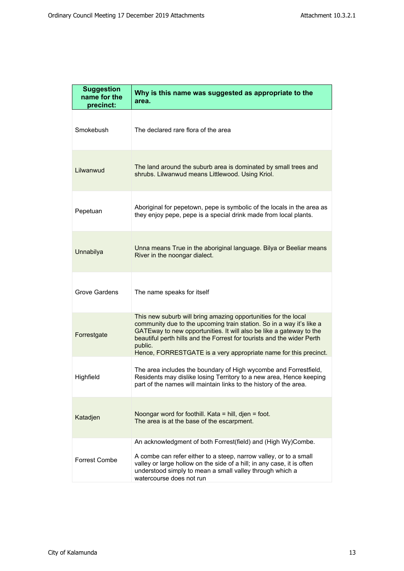| <b>Suggestion</b><br>name for the<br>precinct: | Why is this name was suggested as appropriate to the<br>area.                                                                                                                                                                                                                                                                                                          |
|------------------------------------------------|------------------------------------------------------------------------------------------------------------------------------------------------------------------------------------------------------------------------------------------------------------------------------------------------------------------------------------------------------------------------|
| Smokebush                                      | The declared rare flora of the area                                                                                                                                                                                                                                                                                                                                    |
| Lilwanwud                                      | The land around the suburb area is dominated by small trees and<br>shrubs. Lilwanwud means Littlewood. Using Kriol.                                                                                                                                                                                                                                                    |
| Pepetuan                                       | Aboriginal for pepetown, pepe is symbolic of the locals in the area as<br>they enjoy pepe, pepe is a special drink made from local plants.                                                                                                                                                                                                                             |
| Unnabilya                                      | Unna means True in the aboriginal language. Bilya or Beeliar means<br>River in the noongar dialect.                                                                                                                                                                                                                                                                    |
| Grove Gardens                                  | The name speaks for itself                                                                                                                                                                                                                                                                                                                                             |
| Forrestgate                                    | This new suburb will bring amazing opportunities for the local<br>community due to the upcoming train station. So in a way it's like a<br>GATEway to new opportunities. It will also be like a gateway to the<br>beautiful perth hills and the Forrest for tourists and the wider Perth<br>public.<br>Hence, FORRESTGATE is a very appropriate name for this precinct. |
| Highfield                                      | The area includes the boundary of High wycombe and Forrestfield,<br>Residents may dislike losing Territory to a new area, Hence keeping<br>part of the names will maintain links to the history of the area.                                                                                                                                                           |
| Katadjen                                       | Noongar word for foothill. Kata = hill, djen = foot.<br>The area is at the base of the escarpment.                                                                                                                                                                                                                                                                     |
| Forrest Combe                                  | An acknowledgment of both Forrest(field) and (High Wy)Combe.<br>A combe can refer either to a steep, narrow valley, or to a small<br>valley or large hollow on the side of a hill; in any case, it is often<br>understood simply to mean a small valley through which a<br>watercourse does not run                                                                    |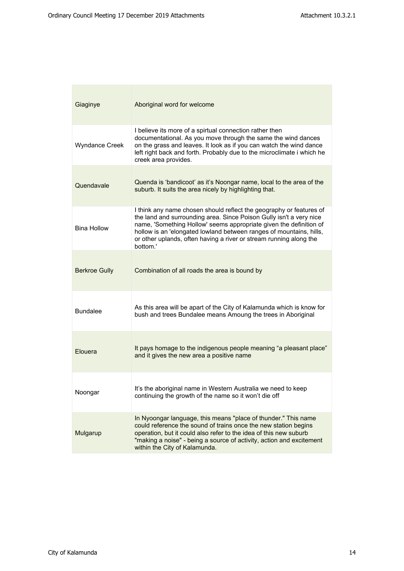| Giaginye              | Aboriginal word for welcome                                                                                                                                                                                                                                                                                                                                               |
|-----------------------|---------------------------------------------------------------------------------------------------------------------------------------------------------------------------------------------------------------------------------------------------------------------------------------------------------------------------------------------------------------------------|
| <b>Wyndance Creek</b> | I believe its more of a spirtual connection rather then<br>documentational. As you move through the same the wind dances<br>on the grass and leaves. It look as if you can watch the wind dance<br>left right back and forth. Probably due to the microclimate i which he<br>creek area provides.                                                                         |
| Quendavale            | Quenda is 'bandicoot' as it's Noongar name, local to the area of the<br>suburb. It suits the area nicely by highlighting that.                                                                                                                                                                                                                                            |
| <b>Bina Hollow</b>    | I think any name chosen should reflect the geography or features of<br>the land and surrounding area. Since Poison Gully isn't a very nice<br>name, 'Something Hollow' seems appropriate given the definition of<br>hollow is an 'elongated lowland between ranges of mountains, hills,<br>or other uplands, often having a river or stream running along the<br>bottom.' |
| <b>Berkroe Gully</b>  | Combination of all roads the area is bound by                                                                                                                                                                                                                                                                                                                             |
| <b>Bundalee</b>       | As this area will be apart of the City of Kalamunda which is know for<br>bush and trees Bundalee means Amoung the trees in Aboriginal                                                                                                                                                                                                                                     |
| Elouera               | It pays homage to the indigenous people meaning "a pleasant place"<br>and it gives the new area a positive name                                                                                                                                                                                                                                                           |
| Noongar               | It's the aboriginal name in Western Australia we need to keep<br>continuing the growth of the name so it won't die off                                                                                                                                                                                                                                                    |
| Mulgarup              | In Nyoongar language, this means "place of thunder." This name<br>could reference the sound of trains once the new station begins<br>operation, but it could also refer to the idea of this new suburb<br>"making a noise" - being a source of activity, action and excitement<br>within the City of Kalamunda.                                                           |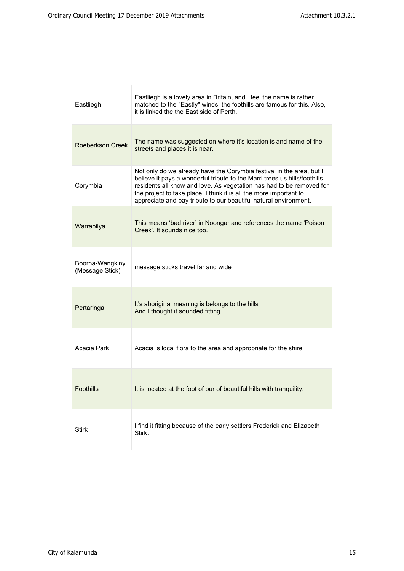| Eastliegh                          | Eastliegh is a lovely area in Britain, and I feel the name is rather<br>matched to the "Eastly" winds; the foothills are famous for this. Also,<br>it is linked the the East side of Perth.                                                                                                                                                                         |
|------------------------------------|---------------------------------------------------------------------------------------------------------------------------------------------------------------------------------------------------------------------------------------------------------------------------------------------------------------------------------------------------------------------|
| <b>Roeberkson Creek</b>            | The name was suggested on where it's location is and name of the<br>streets and places it is near.                                                                                                                                                                                                                                                                  |
| Corymbia                           | Not only do we already have the Corymbia festival in the area, but I<br>believe it pays a wonderful tribute to the Marri trees us hills/foothills<br>residents all know and love. As vegetation has had to be removed for<br>the project to take place, I think it is all the more important to<br>appreciate and pay tribute to our beautiful natural environment. |
| Warrabilya                         | This means 'bad river' in Noongar and references the name 'Poison<br>Creek'. It sounds nice too.                                                                                                                                                                                                                                                                    |
| Boorna-Wangkiny<br>(Message Stick) | message sticks travel far and wide                                                                                                                                                                                                                                                                                                                                  |
| Pertaringa                         | It's aboriginal meaning is belongs to the hills<br>And I thought it sounded fitting                                                                                                                                                                                                                                                                                 |
| Acacia Park                        | Acacia is local flora to the area and appropriate for the shire                                                                                                                                                                                                                                                                                                     |
| <b>Foothills</b>                   | It is located at the foot of our of beautiful hills with tranquility.                                                                                                                                                                                                                                                                                               |
| <b>Stirk</b>                       | I find it fitting because of the early settlers Frederick and Elizabeth<br>Stirk.                                                                                                                                                                                                                                                                                   |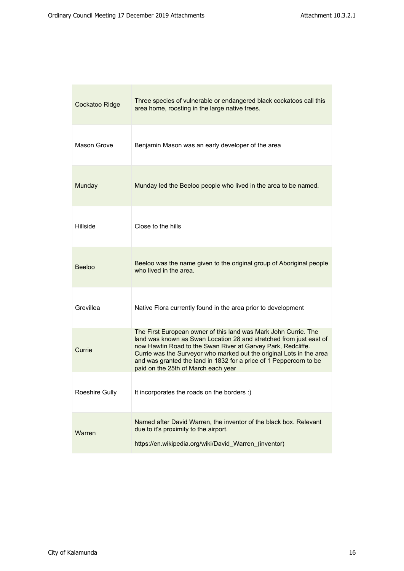| Cockatoo Ridge | Three species of vulnerable or endangered black cockatoos call this<br>area home, roosting in the large native trees.                                                                                                                                                                                                                                                                      |
|----------------|--------------------------------------------------------------------------------------------------------------------------------------------------------------------------------------------------------------------------------------------------------------------------------------------------------------------------------------------------------------------------------------------|
| Mason Grove    | Benjamin Mason was an early developer of the area                                                                                                                                                                                                                                                                                                                                          |
| Munday         | Munday led the Beeloo people who lived in the area to be named.                                                                                                                                                                                                                                                                                                                            |
| Hillside       | Close to the hills                                                                                                                                                                                                                                                                                                                                                                         |
| <b>Beeloo</b>  | Beeloo was the name given to the original group of Aboriginal people<br>who lived in the area.                                                                                                                                                                                                                                                                                             |
| Grevillea      | Native Flora currently found in the area prior to development                                                                                                                                                                                                                                                                                                                              |
| Currie         | The First European owner of this land was Mark John Currie. The<br>land was known as Swan Location 28 and stretched from just east of<br>now Hawtin Road to the Swan River at Garvey Park, Redcliffe.<br>Currie was the Surveyor who marked out the original Lots in the area<br>and was granted the land in 1832 for a price of 1 Peppercorn to be<br>paid on the 25th of March each year |
| Roeshire Gully | It incorporates the roads on the borders :)                                                                                                                                                                                                                                                                                                                                                |
| Warren         | Named after David Warren, the inventor of the black box. Relevant<br>due to it's proximity to the airport.<br>https://en.wikipedia.org/wiki/David Warren (inventor)                                                                                                                                                                                                                        |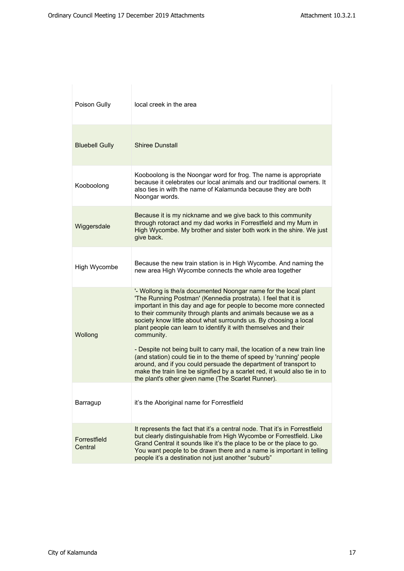| Poison Gully            | local creek in the area                                                                                                                                                                                                                                                                                                                                                                                                                                                                                                                                                                                                                                                                                                            |
|-------------------------|------------------------------------------------------------------------------------------------------------------------------------------------------------------------------------------------------------------------------------------------------------------------------------------------------------------------------------------------------------------------------------------------------------------------------------------------------------------------------------------------------------------------------------------------------------------------------------------------------------------------------------------------------------------------------------------------------------------------------------|
| <b>Bluebell Gully</b>   | <b>Shiree Dunstall</b>                                                                                                                                                                                                                                                                                                                                                                                                                                                                                                                                                                                                                                                                                                             |
| Kooboolong              | Kooboolong is the Noongar word for frog. The name is appropriate<br>because it celebrates our local animals and our traditional owners. It<br>also ties in with the name of Kalamunda because they are both<br>Noongar words.                                                                                                                                                                                                                                                                                                                                                                                                                                                                                                      |
| Wiggersdale             | Because it is my nickname and we give back to this community<br>through rotoract and my dad works in Forrestfield and my Mum in<br>High Wycombe. My brother and sister both work in the shire. We just<br>give back.                                                                                                                                                                                                                                                                                                                                                                                                                                                                                                               |
| High Wycombe            | Because the new train station is in High Wycombe. And naming the<br>new area High Wycombe connects the whole area together                                                                                                                                                                                                                                                                                                                                                                                                                                                                                                                                                                                                         |
| Wollong                 | '- Wollong is the/a documented Noongar name for the local plant<br>'The Running Postman' (Kennedia prostrata). I feel that it is<br>important in this day and age for people to become more connected<br>to their community through plants and animals because we as a<br>society know little about what surrounds us. By choosing a local<br>plant people can learn to identify it with themselves and their<br>community.<br>- Despite not being built to carry mail, the location of a new train line<br>(and station) could tie in to the theme of speed by 'running' people<br>around, and if you could persuade the department of transport to<br>make the train line be signified by a scarlet red, it would also tie in to |
| Barragup                | the plant's other given name (The Scarlet Runner).<br>it's the Aboriginal name for Forrestfield                                                                                                                                                                                                                                                                                                                                                                                                                                                                                                                                                                                                                                    |
| Forrestfield<br>Central | It represents the fact that it's a central node. That it's in Forrestfield<br>but clearly distinguishable from High Wycombe or Forrestfield. Like<br>Grand Central it sounds like it's the place to be or the place to go.<br>You want people to be drawn there and a name is important in telling<br>people it's a destination not just another "suburb"                                                                                                                                                                                                                                                                                                                                                                          |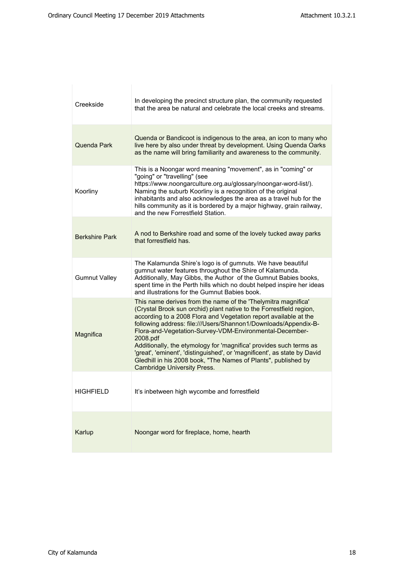| Creekside             | In developing the precinct structure plan, the community requested<br>that the area be natural and celebrate the local creeks and streams.                                                                                                                                                                                                                                                                                                                                                                                                                                                                   |
|-----------------------|--------------------------------------------------------------------------------------------------------------------------------------------------------------------------------------------------------------------------------------------------------------------------------------------------------------------------------------------------------------------------------------------------------------------------------------------------------------------------------------------------------------------------------------------------------------------------------------------------------------|
| Quenda Park           | Quenda or Bandicoot is indigenous to the area, an icon to many who<br>live here by also under threat by development. Using Quenda Oarks<br>as the name will bring familiarity and awareness to the community.                                                                                                                                                                                                                                                                                                                                                                                                |
| Koorliny              | This is a Noongar word meaning "movement", as in "coming" or<br>"going" or "travelling" (see<br>https://www.noongarculture.org.au/glossary/noongar-word-list/).<br>Naming the suburb Koorliny is a recognition of the original<br>inhabitants and also acknowledges the area as a travel hub for the<br>hills community as it is bordered by a major highway, grain railway,<br>and the new Forrestfield Station.                                                                                                                                                                                            |
| <b>Berkshire Park</b> | A nod to Berkshire road and some of the lovely tucked away parks<br>that forrestfield has.                                                                                                                                                                                                                                                                                                                                                                                                                                                                                                                   |
| <b>Gumnut Valley</b>  | The Kalamunda Shire's logo is of gumnuts. We have beautiful<br>gumnut water features throughout the Shire of Kalamunda.<br>Additionally, May Gibbs, the Author of the Gumnut Babies books,<br>spent time in the Perth hills which no doubt helped inspire her ideas<br>and illustrations for the Gumnut Babies book.                                                                                                                                                                                                                                                                                         |
| Magnifica             | This name derives from the name of the 'Thelymitra magnifica'<br>(Crystal Brook sun orchid) plant native to the Forrestfield region,<br>according to a 2008 Flora and Vegetation report available at the<br>following address: file:///Users/Shannon1/Downloads/Appendix-B-<br>Flora-and-Vegetation-Survey-VDM-Environmental-December-<br>2008.pdf<br>Additionally, the etymology for 'magnifica' provides such terms as<br>'great', 'eminent', 'distinguished', or 'magnificent', as state by David<br>Gledhill in his 2008 book, "The Names of Plants", published by<br><b>Cambridge University Press.</b> |
| HIGHFIELD             | It's inbetween high wycombe and forrestfield                                                                                                                                                                                                                                                                                                                                                                                                                                                                                                                                                                 |
| Karlup                | Noongar word for fireplace, home, hearth                                                                                                                                                                                                                                                                                                                                                                                                                                                                                                                                                                     |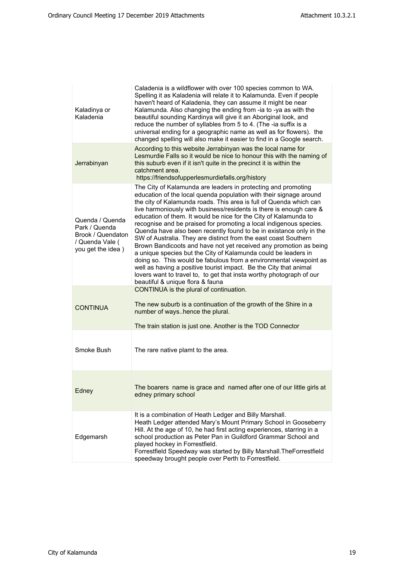| Kaladinya or<br>Kaladenia                                                                     | Caladenia is a wildflower with over 100 species common to WA.<br>Spelling it as Kaladenia will relate it to Kalamunda. Even if people<br>haven't heard of Kaladenia, they can assume it might be near<br>Kalamunda. Also changing the ending from -ia to -ya as with the<br>beautiful sounding Kardinya will give it an Aboriginal look, and<br>reduce the number of syllables from 5 to 4. (The -ia suffix is a<br>universal ending for a geographic name as well as for flowers). the<br>changed spelling will also make it easier to find in a Google search.                                                                                                                                                                                                                                                                                                                                                                                                   |
|-----------------------------------------------------------------------------------------------|--------------------------------------------------------------------------------------------------------------------------------------------------------------------------------------------------------------------------------------------------------------------------------------------------------------------------------------------------------------------------------------------------------------------------------------------------------------------------------------------------------------------------------------------------------------------------------------------------------------------------------------------------------------------------------------------------------------------------------------------------------------------------------------------------------------------------------------------------------------------------------------------------------------------------------------------------------------------|
| Jerrabinyan                                                                                   | According to this website Jerrabinyan was the local name for<br>Lesmurdie Falls so it would be nice to honour this with the naming of<br>this suburb even if it isn't quite in the precinct it is within the<br>catchment area.<br>https://friendsofupperlesmurdiefalls.org/history                                                                                                                                                                                                                                                                                                                                                                                                                                                                                                                                                                                                                                                                                |
| Quenda / Quenda<br>Park / Quenda<br>Brook / Quendaton<br>/ Quenda Vale (<br>you get the idea) | The City of Kalamunda are leaders in protecting and promoting<br>education of the local quenda population with their signage around<br>the city of Kalamunda roads. This area is full of Quenda which can<br>live harmoniously with business/residents is there is enough care &<br>education of them. It would be nice for the City of Kalamunda to<br>recognise and be praised for promoting a local indigenous species.<br>Quenda have also been recently found to be in existance only in the<br>SW of Australia. They are distinct from the east coast Southern<br>Brown Bandicoots and have not yet received any promotion as being<br>a unique species but the City of Kalamunda could be leaders in<br>doing so. This would be fabulous from a environmental viewpoint as<br>well as having a positive tourist impact. Be the City that animal<br>lovers want to travel to, to get that insta worthy photograph of our<br>beautiful & unique flora & fauna |
| <b>CONTINUA</b>                                                                               | CONTINUA is the plural of continuation.<br>The new suburb is a continuation of the growth of the Shire in a<br>number of wayshence the plural.<br>The train station is just one. Another is the TOD Connector                                                                                                                                                                                                                                                                                                                                                                                                                                                                                                                                                                                                                                                                                                                                                      |
| Smoke Bush                                                                                    | The rare native plamt to the area.                                                                                                                                                                                                                                                                                                                                                                                                                                                                                                                                                                                                                                                                                                                                                                                                                                                                                                                                 |
| Edney                                                                                         | The boarers name is grace and named after one of our little girls at<br>edney primary school                                                                                                                                                                                                                                                                                                                                                                                                                                                                                                                                                                                                                                                                                                                                                                                                                                                                       |
| Edgemarsh                                                                                     | It is a combination of Heath Ledger and Billy Marshall.<br>Heath Ledger attended Mary's Mount Primary School in Gooseberry<br>Hill. At the age of 10, he had first acting experiences, starring in a<br>school production as Peter Pan in Guildford Grammar School and<br>played hockey in Forrestfield.<br>Forrestfield Speedway was started by Billy Marshall. The Forrestfield<br>speedway brought people over Perth to Forrestfield.                                                                                                                                                                                                                                                                                                                                                                                                                                                                                                                           |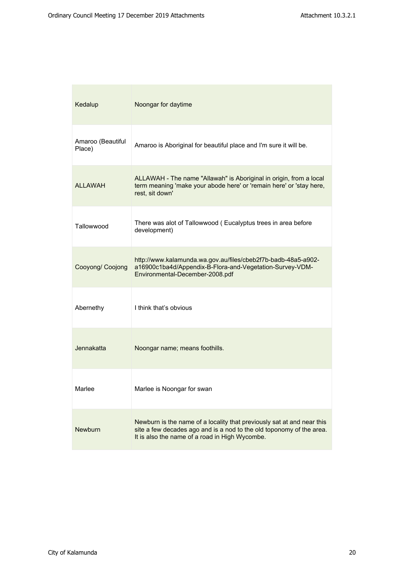| Kedalup                     | Noongar for daytime                                                                                                                                                                              |
|-----------------------------|--------------------------------------------------------------------------------------------------------------------------------------------------------------------------------------------------|
| Amaroo (Beautiful<br>Place) | Amaroo is Aboriginal for beautiful place and I'm sure it will be.                                                                                                                                |
| <b>ALLAWAH</b>              | ALLAWAH - The name "Allawah" is Aboriginal in origin, from a local<br>term meaning 'make your abode here' or 'remain here' or 'stay here,<br>rest. sit down'                                     |
| Tallowwood                  | There was alot of Tallowwood (Eucalyptus trees in area before<br>development)                                                                                                                    |
| Cooyong/ Coojong            | http://www.kalamunda.wa.gov.au/files/cbeb2f7b-badb-48a5-a902-<br>a16900c1ba4d/Appendix-B-Flora-and-Vegetation-Survey-VDM-<br>Environmental-December-2008.pdf                                     |
| Abernethy                   | I think that's obvious                                                                                                                                                                           |
| Jennakatta                  | Noongar name; means foothills.                                                                                                                                                                   |
| Marlee                      | Marlee is Noongar for swan                                                                                                                                                                       |
| <b>Newburn</b>              | Newburn is the name of a locality that previously sat at and near this<br>site a few decades ago and is a nod to the old toponomy of the area.<br>It is also the name of a road in High Wycombe. |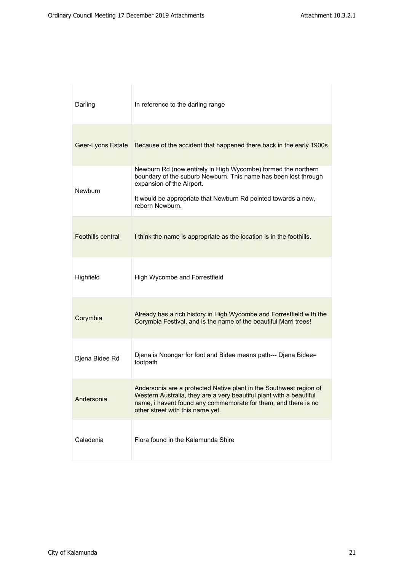| Darling                  | In reference to the darling range                                                                                                                                                                                                                  |
|--------------------------|----------------------------------------------------------------------------------------------------------------------------------------------------------------------------------------------------------------------------------------------------|
|                          | Geer-Lyons Estate Because of the accident that happened there back in the early 1900s                                                                                                                                                              |
| Newburn                  | Newburn Rd (now entirely in High Wycombe) formed the northern<br>boundary of the suburb Newburn. This name has been lost through<br>expansion of the Airport.<br>It would be appropriate that Newburn Rd pointed towards a new,<br>reborn Newburn. |
| <b>Foothills central</b> | I think the name is appropriate as the location is in the foothills.                                                                                                                                                                               |
| Highfield                | High Wycombe and Forrestfield                                                                                                                                                                                                                      |
| Corymbia                 | Already has a rich history in High Wycombe and Forrestfield with the<br>Corymbia Festival, and is the name of the beautiful Marri trees!                                                                                                           |
| Djena Bidee Rd           | Djena is Noongar for foot and Bidee means path--- Djena Bidee=<br>footpath                                                                                                                                                                         |
| Andersonia               | Andersonia are a protected Native plant in the Southwest region of<br>Western Australia, they are a very beautiful plant with a beautiful<br>name, i havent found any commemorate for them, and there is no<br>other street with this name yet.    |
| Caladenia                | Flora found in the Kalamunda Shire                                                                                                                                                                                                                 |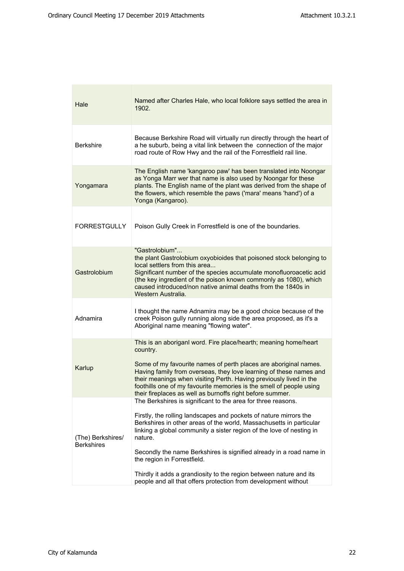| Hale                                   | Named after Charles Hale, who local folklore says settled the area in<br>1902.                                                                                                                                                                                                                                                                                                                                                                                          |
|----------------------------------------|-------------------------------------------------------------------------------------------------------------------------------------------------------------------------------------------------------------------------------------------------------------------------------------------------------------------------------------------------------------------------------------------------------------------------------------------------------------------------|
| <b>Berkshire</b>                       | Because Berkshire Road will virtually run directly through the heart of<br>a he suburb, being a vital link between the connection of the major<br>road route of Row Hwy and the rail of the Forrestfield rail line.                                                                                                                                                                                                                                                     |
| Yongamara                              | The English name 'kangaroo paw' has been translated into Noongar<br>as Yonga Marr wer that name is also used by Noongar for these<br>plants. The English name of the plant was derived from the shape of<br>the flowers, which resemble the paws ('mara' means 'hand') of a<br>Yonga (Kangaroo).                                                                                                                                                                        |
| <b>FORRESTGULLY</b>                    | Poison Gully Creek in Forrestfield is one of the boundaries.                                                                                                                                                                                                                                                                                                                                                                                                            |
| Gastrolobium                           | "Gastrolobium"<br>the plant Gastrolobium oxyobioides that poisoned stock belonging to<br>local settlers from this area<br>Significant number of the species accumulate monofluoroacetic acid<br>(the key ingredient of the poison known commonly as 1080), which<br>caused introduced/non native animal deaths from the 1840s in<br>Western Australia.                                                                                                                  |
| Adnamira                               | I thought the name Adnamira may be a good choice because of the<br>creek Poison gully running along side the area proposed, as it's a<br>Aboriginal name meaning "flowing water".                                                                                                                                                                                                                                                                                       |
| Karlup                                 | This is an aboriganl word. Fire place/hearth; meaning home/heart<br>country.<br>Some of my favourite names of perth places are aboriginal names.<br>Having family from overseas, they love learning of these names and<br>their meanings when visiting Perth. Having previously lived in the<br>foothills one of my favourite memories is the smell of people using<br>their fireplaces as well as burnoffs right before summer.                                        |
| (The) Berkshires/<br><b>Berkshires</b> | The Berkshires is significant to the area for three reasons.<br>Firstly, the rolling landscapes and pockets of nature mirrors the<br>Berkshires in other areas of the world, Massachusetts in particular<br>linking a global community a sister region of the love of nesting in<br>nature.<br>Secondly the name Berkshires is signified already in a road name in<br>the region in Forrestfield.<br>Thirdly it adds a grandiosity to the region between nature and its |
|                                        | people and all that offers protection from development without                                                                                                                                                                                                                                                                                                                                                                                                          |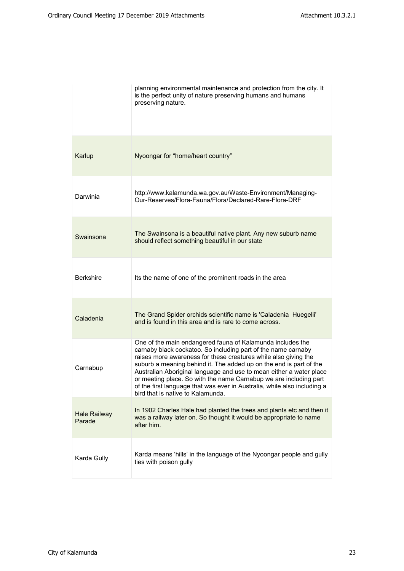|                               | planning environmental maintenance and protection from the city. It<br>is the perfect unity of nature preserving humans and humans<br>preserving nature.                                                                                                                                                                                                                                                                                                                                                                          |
|-------------------------------|-----------------------------------------------------------------------------------------------------------------------------------------------------------------------------------------------------------------------------------------------------------------------------------------------------------------------------------------------------------------------------------------------------------------------------------------------------------------------------------------------------------------------------------|
| Karlup                        | Nyoongar for "home/heart country"                                                                                                                                                                                                                                                                                                                                                                                                                                                                                                 |
| Darwinia                      | http://www.kalamunda.wa.gov.au/Waste-Environment/Managing-<br>Our-Reserves/Flora-Fauna/Flora/Declared-Rare-Flora-DRF                                                                                                                                                                                                                                                                                                                                                                                                              |
| Swainsona                     | The Swainsona is a beautiful native plant. Any new suburb name<br>should reflect something beautiful in our state                                                                                                                                                                                                                                                                                                                                                                                                                 |
| <b>Berkshire</b>              | Its the name of one of the prominent roads in the area                                                                                                                                                                                                                                                                                                                                                                                                                                                                            |
| Caladenia                     | The Grand Spider orchids scientific name is 'Caladenia Huegelii'<br>and is found in this area and is rare to come across.                                                                                                                                                                                                                                                                                                                                                                                                         |
| Carnabup                      | One of the main endangered fauna of Kalamunda includes the<br>carnaby black cockatoo. So including part of the name carnaby<br>raises more awareness for these creatures while also giving the<br>suburb a meaning behind it. The added up on the end is part of the<br>Australian Aboriginal language and use to mean either a water place<br>or meeting place. So with the name Carnabup we are including part<br>of the first language that was ever in Australia, while also including a<br>bird that is native to Kalamunda. |
| <b>Hale Railway</b><br>Parade | In 1902 Charles Hale had planted the trees and plants etc and then it<br>was a railway later on. So thought it would be appropriate to name<br>after him.                                                                                                                                                                                                                                                                                                                                                                         |
| Karda Gully                   | Karda means 'hills' in the language of the Nyoongar people and gully<br>ties with poison gully                                                                                                                                                                                                                                                                                                                                                                                                                                    |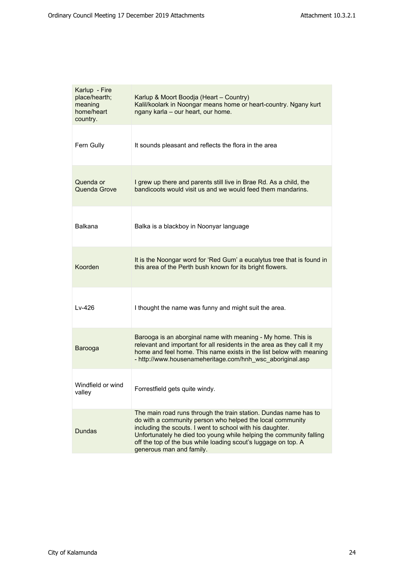| Karlup - Fire<br>place/hearth;<br>meaning<br>home/heart<br>country. | Karlup & Moort Boodja (Heart - Country)<br>Kalil/koolark in Noongar means home or heart-country. Ngany kurt<br>ngany karla - our heart, our home.                                                                                                                                                                                                               |
|---------------------------------------------------------------------|-----------------------------------------------------------------------------------------------------------------------------------------------------------------------------------------------------------------------------------------------------------------------------------------------------------------------------------------------------------------|
| Fern Gully                                                          | It sounds pleasant and reflects the flora in the area                                                                                                                                                                                                                                                                                                           |
| Quenda or<br>Quenda Grove                                           | I grew up there and parents still live in Brae Rd. As a child, the<br>bandicoots would visit us and we would feed them mandarins.                                                                                                                                                                                                                               |
| Balkana                                                             | Balka is a blackboy in Noonyar language                                                                                                                                                                                                                                                                                                                         |
| Koorden                                                             | It is the Noongar word for 'Red Gum' a eucalytus tree that is found in<br>this area of the Perth bush known for its bright flowers.                                                                                                                                                                                                                             |
| $Lv-426$                                                            | I thought the name was funny and might suit the area.                                                                                                                                                                                                                                                                                                           |
| Barooga                                                             | Barooga is an aborginal name with meaning - My home. This is<br>relevant and important for all residents in the area as they call it my<br>home and feel home. This name exists in the list below with meaning<br>- http://www.housenameheritage.com/hnh_wsc_aboriginal.asp                                                                                     |
| Windfield or wind<br>valley                                         | Forrestfield gets quite windy.                                                                                                                                                                                                                                                                                                                                  |
| <b>Dundas</b>                                                       | The main road runs through the train station. Dundas name has to<br>do with a community person who helped the local community<br>including the scouts. I went to school with his daughter.<br>Unfortunately he died too young while helping the community falling<br>off the top of the bus while loading scout's luggage on top. A<br>generous man and family. |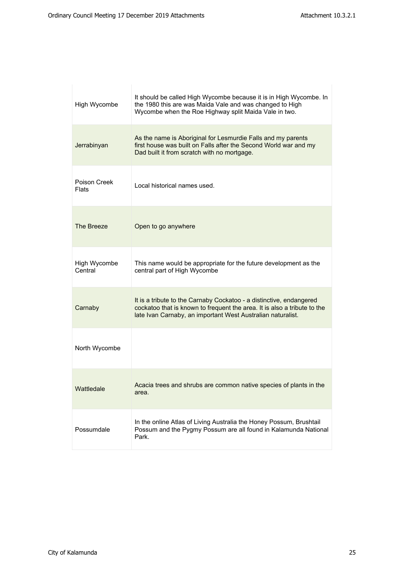| High Wycombe            | It should be called High Wycombe because it is in High Wycombe. In<br>the 1980 this are was Maida Vale and was changed to High<br>Wycombe when the Roe Highway split Maida Vale in two.                        |
|-------------------------|----------------------------------------------------------------------------------------------------------------------------------------------------------------------------------------------------------------|
| Jerrabinyan             | As the name is Aboriginal for Lesmurdie Falls and my parents<br>first house was built on Falls after the Second World war and my<br>Dad built it from scratch with no mortgage.                                |
| Poison Creek<br>Flats   | Local historical names used.                                                                                                                                                                                   |
| The Breeze              | Open to go anywhere                                                                                                                                                                                            |
| High Wycombe<br>Central | This name would be appropriate for the future development as the<br>central part of High Wycombe                                                                                                               |
| Carnaby                 | It is a tribute to the Carnaby Cockatoo - a distinctive, endangered<br>cockatoo that is known to frequent the area. It is also a tribute to the<br>late Ivan Carnaby, an important West Australian naturalist. |
| North Wycombe           |                                                                                                                                                                                                                |
| Wattledale              | Acacia trees and shrubs are common native species of plants in the<br>area.                                                                                                                                    |
| Possumdale              | In the online Atlas of Living Australia the Honey Possum, Brushtail<br>Possum and the Pygmy Possum are all found in Kalamunda National<br>Park.                                                                |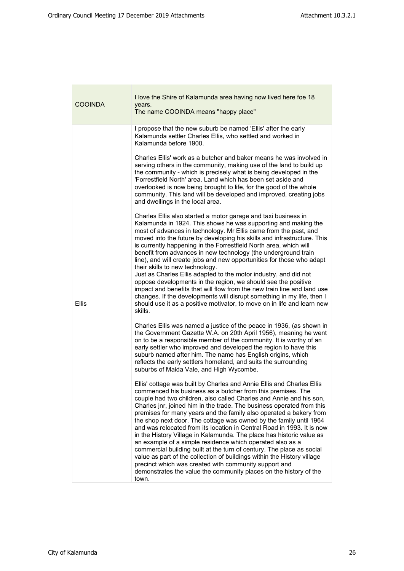| <b>COOINDA</b> | I love the Shire of Kalamunda area having now lived here foe 18<br>years.<br>The name COOINDA means "happy place"                                                                                                                                                                                                                                                                                                                                                                                                                                                                                                                                                                                                                                                                                                                                                                                                                          |
|----------------|--------------------------------------------------------------------------------------------------------------------------------------------------------------------------------------------------------------------------------------------------------------------------------------------------------------------------------------------------------------------------------------------------------------------------------------------------------------------------------------------------------------------------------------------------------------------------------------------------------------------------------------------------------------------------------------------------------------------------------------------------------------------------------------------------------------------------------------------------------------------------------------------------------------------------------------------|
| <b>Ellis</b>   | I propose that the new suburb be named 'Ellis' after the early<br>Kalamunda settler Charles Ellis, who settled and worked in<br>Kalamunda before 1900.<br>Charles Ellis' work as a butcher and baker means he was involved in<br>serving others in the community, making use of the land to build up<br>the community - which is precisely what is being developed in the<br>'Forrestfield North' area. Land which has been set aside and<br>overlooked is now being brought to life, for the good of the whole<br>community. This land will be developed and improved, creating jobs<br>and dwellings in the local area.<br>Charles Ellis also started a motor garage and taxi business in<br>Kalamunda in 1924. This shows he was supporting and making the<br>most of advances in technology. Mr Ellis came from the past, and                                                                                                          |
|                | moved into the future by developing his skills and infrastructure. This<br>is currently happening in the Forrestfield North area, which will<br>benefit from advances in new technology (the underground train<br>line), and will create jobs and new opportunities for those who adapt<br>their skills to new technology.<br>Just as Charles Ellis adapted to the motor industry, and did not<br>oppose developments in the region, we should see the positive<br>impact and benefits that will flow from the new train line and land use<br>changes. If the developments will disrupt something in my life, then I<br>should use it as a positive motivator, to move on in life and learn new<br>skills.                                                                                                                                                                                                                                 |
|                | Charles Ellis was named a justice of the peace in 1936, (as shown in<br>the Government Gazette W.A. on 20th April 1956), meaning he went<br>on to be a responsible member of the community. It is worthy of an<br>early settler who improved and developed the region to have this<br>suburb named after him. The name has English origins, which<br>reflects the early settlers homeland, and suits the surrounding<br>suburbs of Maida Vale, and High Wycombe.                                                                                                                                                                                                                                                                                                                                                                                                                                                                           |
|                | Ellis' cottage was built by Charles and Annie Ellis and Charles Ellis<br>commenced his business as a butcher from this premises. The<br>couple had two children, also called Charles and Annie and his son,<br>Charles jnr, joined him in the trade. The business operated from this<br>premises for many years and the family also operated a bakery from<br>the shop next door. The cottage was owned by the family until 1964<br>and was relocated from its location in Central Road in 1993. It is now<br>in the History Village in Kalamunda. The place has historic value as<br>an example of a simple residence which operated also as a<br>commercial building built at the turn of century. The place as social<br>value as part of the collection of buildings within the History village<br>precinct which was created with community support and<br>demonstrates the value the community places on the history of the<br>town. |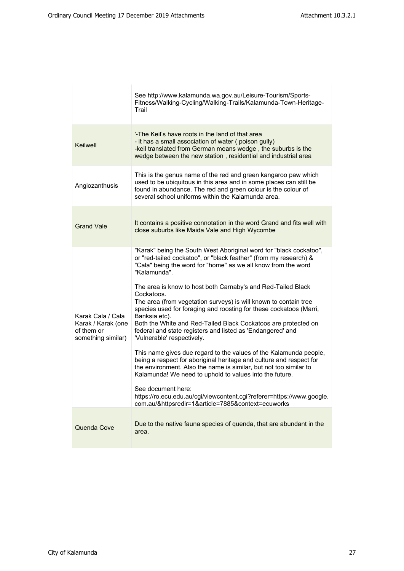|                                                                             | See http://www.kalamunda.wa.gov.au/Leisure-Tourism/Sports-<br>Fitness/Walking-Cycling/Walking-Trails/Kalamunda-Town-Heritage-<br>Trail                                                                                                                                                                                                                                                                                                                                                                                                                                                                                                                                                                                                                                                                                                                                                                                                                                                                                                                           |
|-----------------------------------------------------------------------------|------------------------------------------------------------------------------------------------------------------------------------------------------------------------------------------------------------------------------------------------------------------------------------------------------------------------------------------------------------------------------------------------------------------------------------------------------------------------------------------------------------------------------------------------------------------------------------------------------------------------------------------------------------------------------------------------------------------------------------------------------------------------------------------------------------------------------------------------------------------------------------------------------------------------------------------------------------------------------------------------------------------------------------------------------------------|
| Keilwell                                                                    | '-The Keil's have roots in the land of that area<br>- it has a small association of water (poison gully)<br>-keil translated from German means wedge, the suburbs is the<br>wedge between the new station, residential and industrial area                                                                                                                                                                                                                                                                                                                                                                                                                                                                                                                                                                                                                                                                                                                                                                                                                       |
| Angiozanthusis                                                              | This is the genus name of the red and green kangaroo paw which<br>used to be ubiquitous in this area and in some places can still be<br>found in abundance. The red and green colour is the colour of<br>several school uniforms within the Kalamunda area.                                                                                                                                                                                                                                                                                                                                                                                                                                                                                                                                                                                                                                                                                                                                                                                                      |
| <b>Grand Vale</b>                                                           | It contains a positive connotation in the word Grand and fits well with<br>close suburbs like Maida Vale and High Wycombe                                                                                                                                                                                                                                                                                                                                                                                                                                                                                                                                                                                                                                                                                                                                                                                                                                                                                                                                        |
| Karak Cala / Cala<br>Karak / Karak (one<br>of them or<br>something similar) | "Karak" being the South West Aboriginal word for "black cockatoo",<br>or "red-tailed cockatoo", or "black feather" (from my research) &<br>"Cala" being the word for "home" as we all know from the word<br>"Kalamunda".<br>The area is know to host both Carnaby's and Red-Tailed Black<br>Cockatoos.<br>The area (from vegetation surveys) is will known to contain tree<br>species used for foraging and roosting for these cockatoos (Marri,<br>Banksia etc).<br>Both the White and Red-Tailed Black Cockatoos are protected on<br>federal and state registers and listed as 'Endangered' and<br>'Vulnerable' respectively.<br>This name gives due regard to the values of the Kalamunda people,<br>being a respect for aboriginal heritage and culture and respect for<br>the environment. Also the name is similar, but not too similar to<br>Kalamunda! We need to uphold to values into the future.<br>See document here:<br>https://ro.ecu.edu.au/cgi/viewcontent.cgi?referer=https://www.google.<br>com.au/&httpsredir=1&article=7885&context=ecuworks |
| Quenda Cove                                                                 | Due to the native fauna species of quenda, that are abundant in the<br>area.                                                                                                                                                                                                                                                                                                                                                                                                                                                                                                                                                                                                                                                                                                                                                                                                                                                                                                                                                                                     |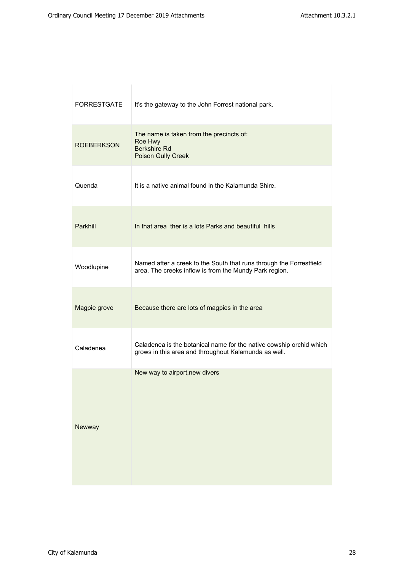| <b>FORRESTGATE</b> | It's the gateway to the John Forrest national park.                                                                           |
|--------------------|-------------------------------------------------------------------------------------------------------------------------------|
| <b>ROEBERKSON</b>  | The name is taken from the precincts of:<br>Roe Hwy<br><b>Berkshire Rd</b><br><b>Poison Gully Creek</b>                       |
| Quenda             | It is a native animal found in the Kalamunda Shire.                                                                           |
| Parkhill           | In that area ther is a lots Parks and beautiful hills                                                                         |
| Woodlupine         | Named after a creek to the South that runs through the Forrestfield<br>area. The creeks inflow is from the Mundy Park region. |
| Magpie grove       | Because there are lots of magpies in the area                                                                                 |
| Caladenea          | Caladenea is the botanical name for the native cowship orchid which<br>grows in this area and throughout Kalamunda as well.   |
| Newway             | New way to airport, new divers                                                                                                |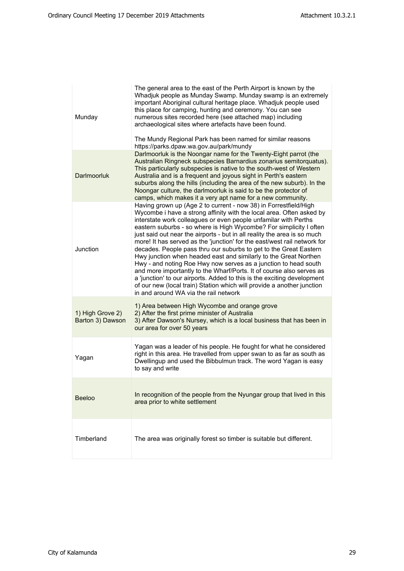| Munday                               | The general area to the east of the Perth Airport is known by the<br>Whadjuk people as Munday Swamp. Munday swamp is an extremely<br>important Aboriginal cultural heritage place. Whadjuk people used<br>this place for camping, hunting and ceremony. You can see<br>numerous sites recorded here (see attached map) including<br>archaeological sites where artefacts have been found.<br>The Mundy Regional Park has been named for similar reasons<br>https://parks.dpaw.wa.gov.au/park/mundy                                                                                                                                                                                                                                                                                                                                                                                                                          |
|--------------------------------------|-----------------------------------------------------------------------------------------------------------------------------------------------------------------------------------------------------------------------------------------------------------------------------------------------------------------------------------------------------------------------------------------------------------------------------------------------------------------------------------------------------------------------------------------------------------------------------------------------------------------------------------------------------------------------------------------------------------------------------------------------------------------------------------------------------------------------------------------------------------------------------------------------------------------------------|
| Darlmoorluk                          | Darlmoorluk is the Noongar name for the Twenty-Eight parrot (the<br>Australian Ringneck subspecies Barnardius zonarius semitorquatus).<br>This particularly subspecies is native to the south-west of Western<br>Australia and is a frequent and joyous sight in Perth's eastern<br>suburbs along the hills (including the area of the new suburb). In the<br>Noongar culture, the darlmoorluk is said to be the protector of<br>camps, which makes it a very apt name for a new community.                                                                                                                                                                                                                                                                                                                                                                                                                                 |
| Junction                             | Having grown up (Age 2 to current - now 38) in Forrestfield/High<br>Wycombe i have a strong affinity with the local area. Often asked by<br>interstate work colleagues or even people unfamilar with Perths<br>eastern suburbs - so where is High Wycombe? For simplicity I often<br>just said out near the airports - but in all reality the area is so much<br>more! It has served as the 'junction' for the east/west rail network for<br>decades. People pass thru our suburbs to get to the Great Eastern<br>Hwy junction when headed east and similarly to the Great Northen<br>Hwy - and noting Roe Hwy now serves as a junction to head south<br>and more importantly to the Wharf/Ports. It of course also serves as<br>a 'junction' to our airports. Added to this is the exciting development<br>of our new (local train) Station which will provide a another junction<br>in and around WA via the rail network |
| 1) High Grove 2)<br>Barton 3) Dawson | 1) Area between High Wycombe and orange grove<br>2) After the first prime minister of Australia<br>3) After Dawson's Nursey, which is a local business that has been in<br>our area for over 50 years                                                                                                                                                                                                                                                                                                                                                                                                                                                                                                                                                                                                                                                                                                                       |
| Yagan                                | Yagan was a leader of his people. He fought for what he considered<br>right in this area. He travelled from upper swan to as far as south as<br>Dwellingup and used the Bibbulmun track. The word Yagan is easy<br>to say and write                                                                                                                                                                                                                                                                                                                                                                                                                                                                                                                                                                                                                                                                                         |
| <b>Beeloo</b>                        | In recognition of the people from the Nyungar group that lived in this<br>area prior to white settlement                                                                                                                                                                                                                                                                                                                                                                                                                                                                                                                                                                                                                                                                                                                                                                                                                    |
| Timberland                           | The area was originally forest so timber is suitable but different.                                                                                                                                                                                                                                                                                                                                                                                                                                                                                                                                                                                                                                                                                                                                                                                                                                                         |